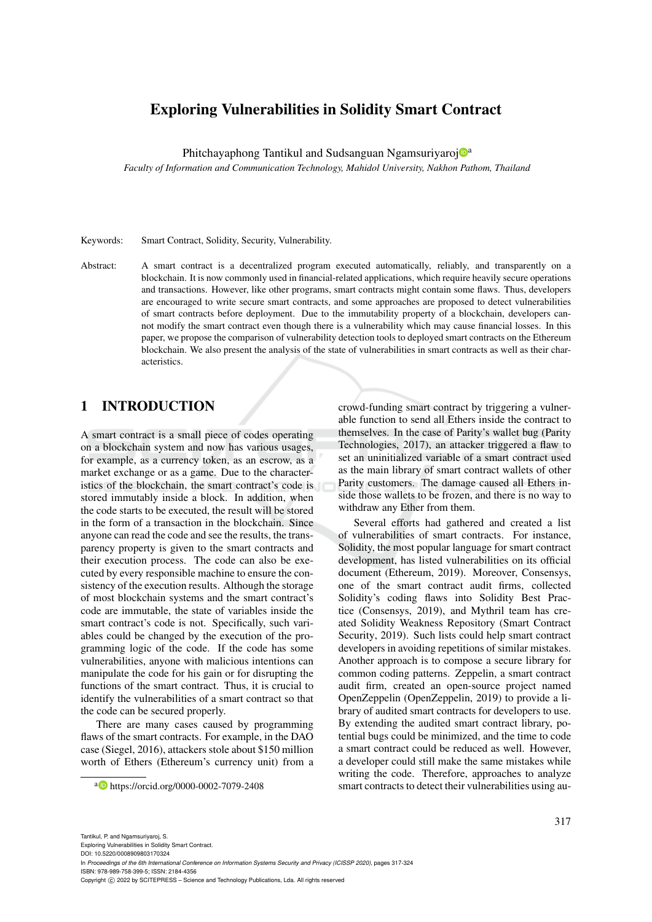# Exploring Vulnerabilities in Solidity Smart Contract

Phitchayaphong Tantikul and Sudsanguan Ngamsuriyaroj<sup>n</sup>

*Faculty of Information and Communication Technology, Mahidol University, Nakhon Pathom, Thailand*

Keywords: Smart Contract, Solidity, Security, Vulnerability.

Abstract: A smart contract is a decentralized program executed automatically, reliably, and transparently on a blockchain. It is now commonly used in financial-related applications, which require heavily secure operations and transactions. However, like other programs, smart contracts might contain some flaws. Thus, developers are encouraged to write secure smart contracts, and some approaches are proposed to detect vulnerabilities of smart contracts before deployment. Due to the immutability property of a blockchain, developers cannot modify the smart contract even though there is a vulnerability which may cause financial losses. In this paper, we propose the comparison of vulnerability detection tools to deployed smart contracts on the Ethereum blockchain. We also present the analysis of the state of vulnerabilities in smart contracts as well as their characteristics.

# 1 INTRODUCTION

A smart contract is a small piece of codes operating on a blockchain system and now has various usages, for example, as a currency token, as an escrow, as a market exchange or as a game. Due to the characteristics of the blockchain, the smart contract's code is stored immutably inside a block. In addition, when the code starts to be executed, the result will be stored in the form of a transaction in the blockchain. Since anyone can read the code and see the results, the transparency property is given to the smart contracts and their execution process. The code can also be executed by every responsible machine to ensure the consistency of the execution results. Although the storage of most blockchain systems and the smart contract's code are immutable, the state of variables inside the smart contract's code is not. Specifically, such variables could be changed by the execution of the programming logic of the code. If the code has some vulnerabilities, anyone with malicious intentions can manipulate the code for his gain or for disrupting the functions of the smart contract. Thus, it is crucial to identify the vulnerabilities of a smart contract so that the code can be secured properly.

There are many cases caused by programming flaws of the smart contracts. For example, in the DAO case (Siegel, 2016), attackers stole about \$150 million worth of Ethers (Ethereum's currency unit) from a

<sup>a</sup> https://orcid.org/0000-0002-7079-2408

crowd-funding smart contract by triggering a vulnerable function to send all Ethers inside the contract to themselves. In the case of Parity's wallet bug (Parity Technologies, 2017), an attacker triggered a flaw to set an uninitialized variable of a smart contract used as the main library of smart contract wallets of other Parity customers. The damage caused all Ethers inside those wallets to be frozen, and there is no way to withdraw any Ether from them.

Several efforts had gathered and created a list of vulnerabilities of smart contracts. For instance, Solidity, the most popular language for smart contract development, has listed vulnerabilities on its official document (Ethereum, 2019). Moreover, Consensys, one of the smart contract audit firms, collected Solidity's coding flaws into Solidity Best Practice (Consensys, 2019), and Mythril team has created Solidity Weakness Repository (Smart Contract Security, 2019). Such lists could help smart contract developers in avoiding repetitions of similar mistakes. Another approach is to compose a secure library for common coding patterns. Zeppelin, a smart contract audit firm, created an open-source project named OpenZeppelin (OpenZeppelin, 2019) to provide a library of audited smart contracts for developers to use. By extending the audited smart contract library, potential bugs could be minimized, and the time to code a smart contract could be reduced as well. However, a developer could still make the same mistakes while writing the code. Therefore, approaches to analyze smart contracts to detect their vulnerabilities using au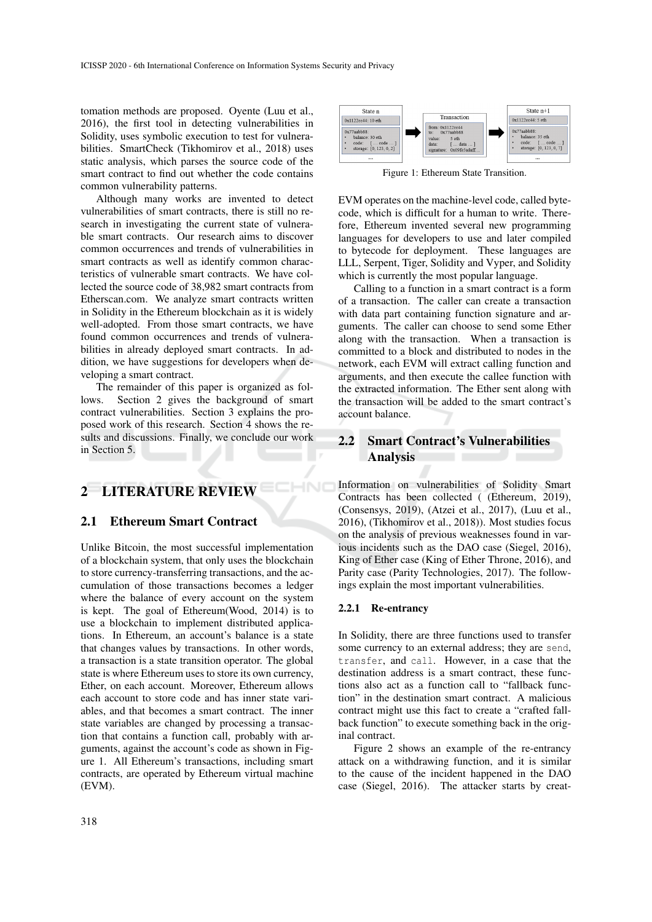tomation methods are proposed. Oyente (Luu et al., 2016), the first tool in detecting vulnerabilities in Solidity, uses symbolic execution to test for vulnerabilities. SmartCheck (Tikhomirov et al., 2018) uses static analysis, which parses the source code of the smart contract to find out whether the code contains common vulnerability patterns.

Although many works are invented to detect vulnerabilities of smart contracts, there is still no research in investigating the current state of vulnerable smart contracts. Our research aims to discover common occurrences and trends of vulnerabilities in smart contracts as well as identify common characteristics of vulnerable smart contracts. We have collected the source code of 38,982 smart contracts from Etherscan.com. We analyze smart contracts written in Solidity in the Ethereum blockchain as it is widely well-adopted. From those smart contracts, we have found common occurrences and trends of vulnerabilities in already deployed smart contracts. In addition, we have suggestions for developers when developing a smart contract.

The remainder of this paper is organized as follows. Section 2 gives the background of smart contract vulnerabilities. Section 3 explains the proposed work of this research. Section 4 shows the results and discussions. Finally, we conclude our work in Section 5.

# 2 LITERATURE REVIEW

### 2.1 Ethereum Smart Contract

Unlike Bitcoin, the most successful implementation of a blockchain system, that only uses the blockchain to store currency-transferring transactions, and the accumulation of those transactions becomes a ledger where the balance of every account on the system is kept. The goal of Ethereum(Wood, 2014) is to use a blockchain to implement distributed applications. In Ethereum, an account's balance is a state that changes values by transactions. In other words, a transaction is a state transition operator. The global state is where Ethereum uses to store its own currency, Ether, on each account. Moreover, Ethereum allows each account to store code and has inner state variables, and that becomes a smart contract. The inner state variables are changed by processing a transaction that contains a function call, probably with arguments, against the account's code as shown in Figure 1. All Ethereum's transactions, including smart contracts, are operated by Ethereum virtual machine (EVM).



Figure 1: Ethereum State Transition.

EVM operates on the machine-level code, called bytecode, which is difficult for a human to write. Therefore, Ethereum invented several new programming languages for developers to use and later compiled to bytecode for deployment. These languages are LLL, Serpent, Tiger, Solidity and Vyper, and Solidity which is currently the most popular language.

Calling to a function in a smart contract is a form of a transaction. The caller can create a transaction with data part containing function signature and arguments. The caller can choose to send some Ether along with the transaction. When a transaction is committed to a block and distributed to nodes in the network, each EVM will extract calling function and arguments, and then execute the callee function with the extracted information. The Ether sent along with the transaction will be added to the smart contract's account balance.

## 2.2 Smart Contract's Vulnerabilities Analysis

Information on vulnerabilities of Solidity Smart Contracts has been collected ( (Ethereum, 2019), (Consensys, 2019), (Atzei et al., 2017), (Luu et al., 2016), (Tikhomirov et al., 2018)). Most studies focus on the analysis of previous weaknesses found in various incidents such as the DAO case (Siegel, 2016), King of Ether case (King of Ether Throne, 2016), and Parity case (Parity Technologies, 2017). The followings explain the most important vulnerabilities.

### 2.2.1 Re-entrancy

In Solidity, there are three functions used to transfer some currency to an external address; they are send, transfer, and call. However, in a case that the destination address is a smart contract, these functions also act as a function call to "fallback function" in the destination smart contract. A malicious contract might use this fact to create a "crafted fallback function" to execute something back in the original contract.

Figure 2 shows an example of the re-entrancy attack on a withdrawing function, and it is similar to the cause of the incident happened in the DAO case (Siegel, 2016). The attacker starts by creat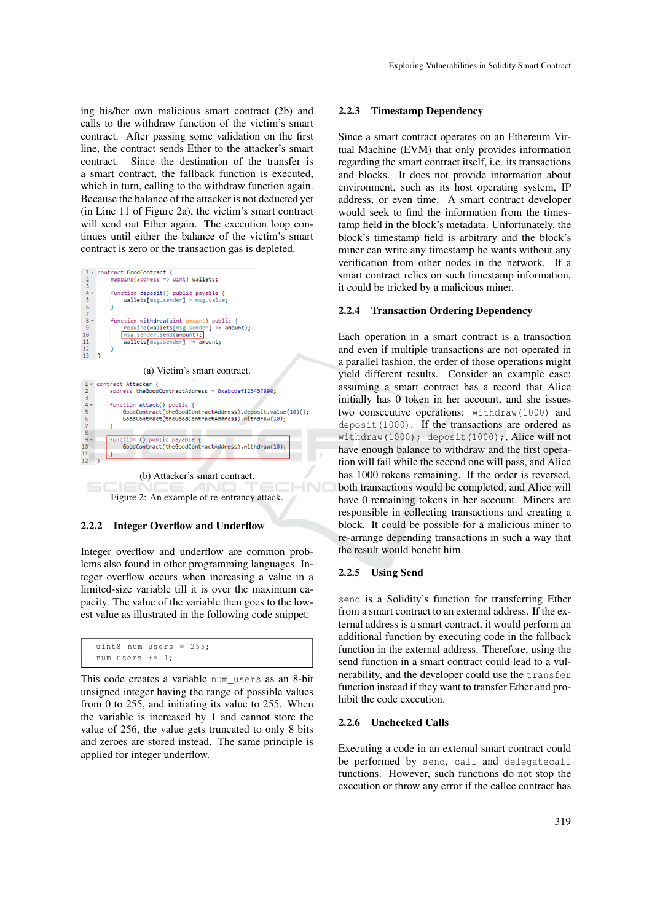ing his/her own malicious smart contract (2b) and calls to the withdraw function of the victim's smart contract. After passing some validation on the first line, the contract sends Ether to the attacker's smart contract. Since the destination of the transfer is a smart contract, the fallback function is executed, which in turn, calling to the withdraw function again. Because the balance of the attacker is not deducted yet (in Line 11 of Figure 2a), the victim's smart contract will send out Ether again. The execution loop continues until either the balance of the victim's smart contract is zero or the transaction gas is depleted.

| contract GoodContract {                      |
|----------------------------------------------|
| $mapping(address \Rightarrow vint) wallets;$ |
|                                              |
| function deposit() public payable {          |
| $wallets[msg.sender] = msg.value;$           |
|                                              |
|                                              |
| function withdraw(uint amount) public {      |
| $require(wallest[msg.sender] > = amount);$   |
| msg.sender.send(amount);                     |
| wallets[msg.sender] -= amount:               |
|                                              |
|                                              |
|                                              |
| (a) Victim's smart contract.                 |
| 1 v contract Attacker {                      |
|                                              |



Figure 2: An example of re-entrancy attack.

#### 2.2.2 Integer Overflow and Underflow

Integer overflow and underflow are common problems also found in other programming languages. Integer overflow occurs when increasing a value in a limited-size variable till it is over the maximum capacity. The value of the variable then goes to the lowest value as illustrated in the following code snippet:

```
uint8 num_users = 255;
num users += 1:
```
This code creates a variable num users as an 8-bit unsigned integer having the range of possible values from 0 to 255, and initiating its value to 255. When the variable is increased by 1 and cannot store the value of 256, the value gets truncated to only 8 bits and zeroes are stored instead. The same principle is applied for integer underflow.

### 2.2.3 Timestamp Dependency

Since a smart contract operates on an Ethereum Virtual Machine (EVM) that only provides information regarding the smart contract itself, i.e. its transactions and blocks. It does not provide information about environment, such as its host operating system, IP address, or even time. A smart contract developer would seek to find the information from the timestamp field in the block's metadata. Unfortunately, the block's timestamp field is arbitrary and the block's miner can write any timestamp he wants without any verification from other nodes in the network. If a smart contract relies on such timestamp information, it could be tricked by a malicious miner.

#### 2.2.4 Transaction Ordering Dependency

Each operation in a smart contract is a transaction and even if multiple transactions are not operated in a parallel fashion, the order of those operations might yield different results. Consider an example case: assuming a smart contract has a record that Alice initially has 0 token in her account, and she issues two consecutive operations: withdraw(1000) and deposit(1000). If the transactions are ordered as withdraw(1000); deposit(1000);, Alice will not have enough balance to withdraw and the first operation will fail while the second one will pass, and Alice has 1000 tokens remaining. If the order is reversed, both transactions would be completed, and Alice will have 0 remaining tokens in her account. Miners are responsible in collecting transactions and creating a block. It could be possible for a malicious miner to re-arrange depending transactions in such a way that the result would benefit him.

### 2.2.5 Using Send

send is a Solidity's function for transferring Ether from a smart contract to an external address. If the external address is a smart contract, it would perform an additional function by executing code in the fallback function in the external address. Therefore, using the send function in a smart contract could lead to a vulnerability, and the developer could use the transfer function instead if they want to transfer Ether and prohibit the code execution.

#### 2.2.6 Unchecked Calls

Executing a code in an external smart contract could be performed by send, call and delegatecall functions. However, such functions do not stop the execution or throw any error if the callee contract has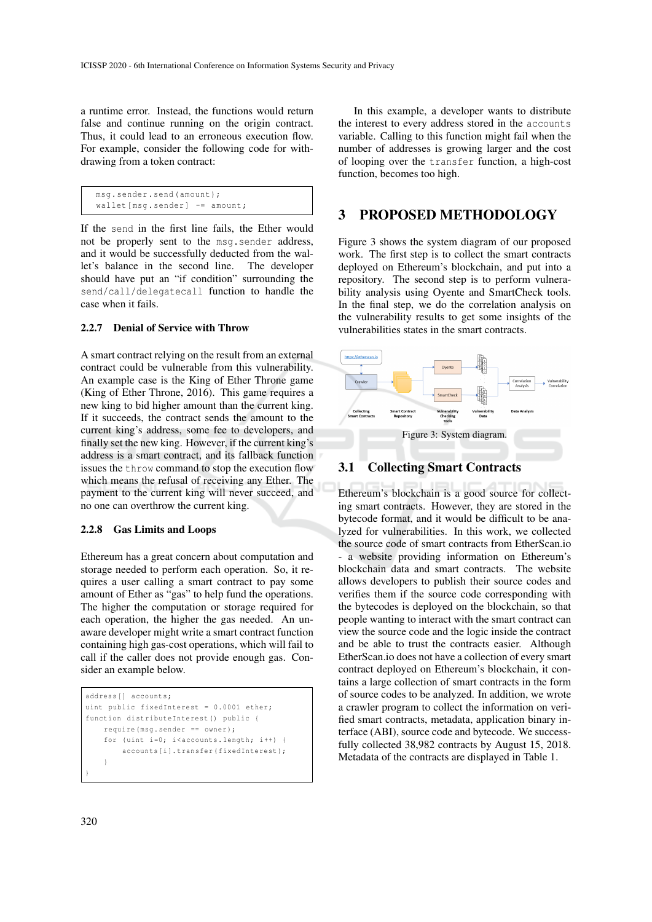a runtime error. Instead, the functions would return false and continue running on the origin contract. Thus, it could lead to an erroneous execution flow. For example, consider the following code for withdrawing from a token contract:

```
msg . sender . send ( amount );
wallet [msg.sender] -= amount;
```
If the send in the first line fails, the Ether would not be properly sent to the msg.sender address, and it would be successfully deducted from the wallet's balance in the second line. The developer should have put an "if condition" surrounding the send/call/delegatecall function to handle the case when it fails.

### 2.2.7 Denial of Service with Throw

A smart contract relying on the result from an external contract could be vulnerable from this vulnerability. An example case is the King of Ether Throne game (King of Ether Throne, 2016). This game requires a new king to bid higher amount than the current king. If it succeeds, the contract sends the amount to the current king's address, some fee to developers, and finally set the new king. However, if the current king's address is a smart contract, and its fallback function issues the throw command to stop the execution flow which means the refusal of receiving any Ether. The payment to the current king will never succeed, and no one can overthrow the current king.

#### 2.2.8 Gas Limits and Loops

Ethereum has a great concern about computation and storage needed to perform each operation. So, it requires a user calling a smart contract to pay some amount of Ether as "gas" to help fund the operations. The higher the computation or storage required for each operation, the higher the gas needed. An unaware developer might write a smart contract function containing high gas-cost operations, which will fail to call if the caller does not provide enough gas. Consider an example below.

```
address [] accounts ;
uint public fixedInterest = 0.0001 ether;
function distributeInterest () public {
    require (msq. sender == owner);
    for (uint i=0; i < accounts . length; i++) {
        accounts [i]. transfer (fixedInterest);
    }
}
```
In this example, a developer wants to distribute the interest to every address stored in the accounts variable. Calling to this function might fail when the number of addresses is growing larger and the cost of looping over the transfer function, a high-cost function, becomes too high.

### 3 PROPOSED METHODOLOGY

Figure 3 shows the system diagram of our proposed work. The first step is to collect the smart contracts deployed on Ethereum's blockchain, and put into a repository. The second step is to perform vulnerability analysis using Oyente and SmartCheck tools. In the final step, we do the correlation analysis on the vulnerability results to get some insights of the vulnerabilities states in the smart contracts.



### 3.1 Collecting Smart Contracts

Ethereum's blockchain is a good source for collecting smart contracts. However, they are stored in the bytecode format, and it would be difficult to be analyzed for vulnerabilities. In this work, we collected the source code of smart contracts from EtherScan.io - a website providing information on Ethereum's blockchain data and smart contracts. The website allows developers to publish their source codes and verifies them if the source code corresponding with the bytecodes is deployed on the blockchain, so that people wanting to interact with the smart contract can view the source code and the logic inside the contract and be able to trust the contracts easier. Although EtherScan.io does not have a collection of every smart contract deployed on Ethereum's blockchain, it contains a large collection of smart contracts in the form of source codes to be analyzed. In addition, we wrote a crawler program to collect the information on verified smart contracts, metadata, application binary interface (ABI), source code and bytecode. We successfully collected 38,982 contracts by August 15, 2018. Metadata of the contracts are displayed in Table 1.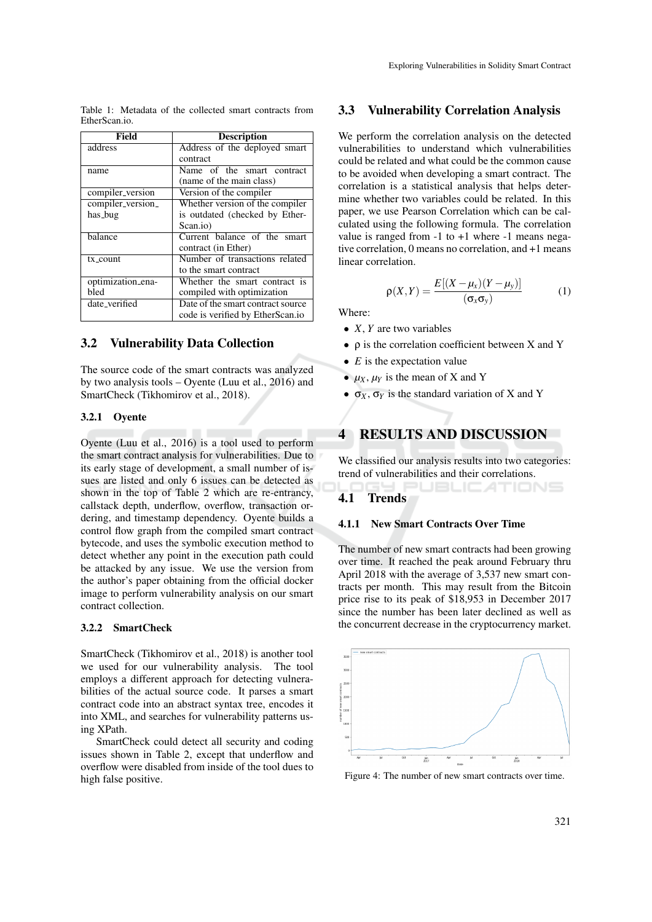Table 1: Metadata of the collected smart contracts from EtherScan.io.

| Field             | <b>Description</b>                |
|-------------------|-----------------------------------|
| address           | Address of the deployed smart     |
|                   | contract                          |
| name              | Name of the smart contract        |
|                   | (name of the main class)          |
| compiler_version  | Version of the compiler           |
| compiler_version_ | Whether version of the compiler   |
| has_bug           | is outdated (checked by Ether-    |
|                   | Scan.io)                          |
| balance           | Current balance of the smart      |
|                   | contract (in Ether)               |
| tx_count          | Number of transactions related    |
|                   | to the smart contract             |
| optimization_ena- | Whether the smart contract is     |
| bled              | compiled with optimization        |
| date_verified     | Date of the smart contract source |
|                   | code is verified by EtherScan.io  |

### 3.2 Vulnerability Data Collection

The source code of the smart contracts was analyzed by two analysis tools – Oyente (Luu et al., 2016) and SmartCheck (Tikhomirov et al., 2018).

#### 3.2.1 Oyente

Oyente (Luu et al., 2016) is a tool used to perform the smart contract analysis for vulnerabilities. Due to its early stage of development, a small number of issues are listed and only 6 issues can be detected as shown in the top of Table 2 which are re-entrancy, callstack depth, underflow, overflow, transaction ordering, and timestamp dependency. Oyente builds a control flow graph from the compiled smart contract bytecode, and uses the symbolic execution method to detect whether any point in the execution path could be attacked by any issue. We use the version from the author's paper obtaining from the official docker image to perform vulnerability analysis on our smart contract collection.

### 3.2.2 SmartCheck

SmartCheck (Tikhomirov et al., 2018) is another tool we used for our vulnerability analysis. The tool employs a different approach for detecting vulnerabilities of the actual source code. It parses a smart contract code into an abstract syntax tree, encodes it into XML, and searches for vulnerability patterns using XPath.

SmartCheck could detect all security and coding issues shown in Table 2, except that underflow and overflow were disabled from inside of the tool dues to high false positive.

### 3.3 Vulnerability Correlation Analysis

We perform the correlation analysis on the detected vulnerabilities to understand which vulnerabilities could be related and what could be the common cause to be avoided when developing a smart contract. The correlation is a statistical analysis that helps determine whether two variables could be related. In this paper, we use Pearson Correlation which can be calculated using the following formula. The correlation value is ranged from  $-1$  to  $+1$  where  $-1$  means negative correlation, 0 means no correlation, and +1 means linear correlation.

$$
\rho(X,Y) = \frac{E[(X-\mu_X)(Y-\mu_Y)]}{(\sigma_X \sigma_Y)}\tag{1}
$$

Where:

- *X*, *Y* are two variables
- ρ is the correlation coefficient between X and Y
- $\bullet$  *E* is the expectation value
- $\mu_X$ ,  $\mu_Y$  is the mean of X and Y
- $\bullet$   $\sigma_X$ ,  $\sigma_Y$  is the standard variation of X and Y

## 4 RESULTS AND DISCUSSION

We classified our analysis results into two categories: trend of vulnerabilities and their correlations.

**UBLICATIONS** 

### 4.1 Trends

### 4.1.1 New Smart Contracts Over Time

The number of new smart contracts had been growing over time. It reached the peak around February thru April 2018 with the average of 3,537 new smart contracts per month. This may result from the Bitcoin price rise to its peak of \$18,953 in December 2017 since the number has been later declined as well as the concurrent decrease in the cryptocurrency market.



Figure 4: The number of new smart contracts over time.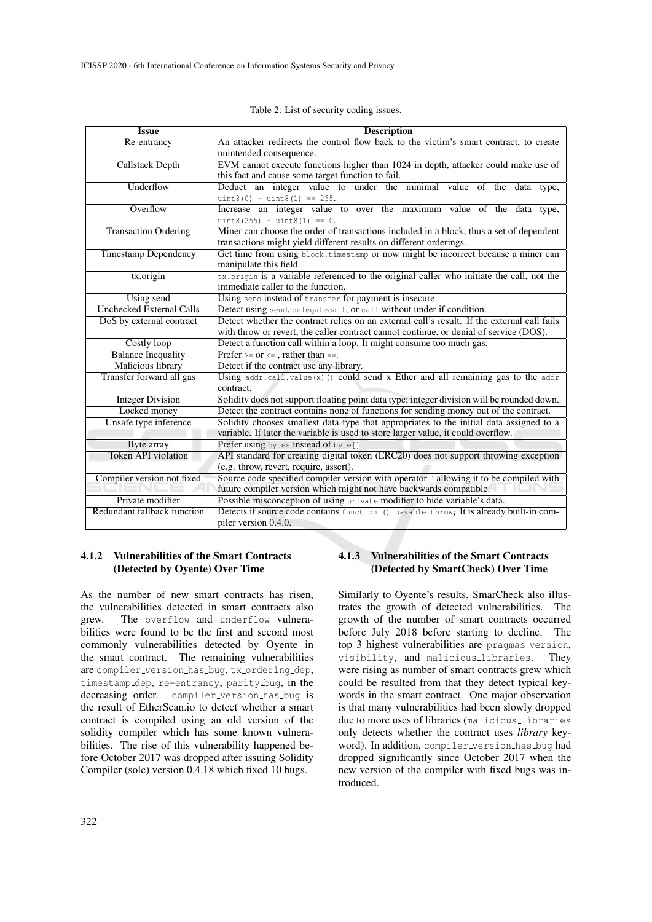| <b>Issue</b>                    | <b>Description</b>                                                                                                                                            |  |
|---------------------------------|---------------------------------------------------------------------------------------------------------------------------------------------------------------|--|
| Re-entrancy                     | An attacker redirects the control flow back to the victim's smart contract, to create<br>unintended consequence.                                              |  |
| <b>Callstack Depth</b>          | EVM cannot execute functions higher than 1024 in depth, attacker could make use of                                                                            |  |
|                                 | this fact and cause some target function to fail.                                                                                                             |  |
| Underflow                       | Deduct an integer value to under the minimal value of the data type,                                                                                          |  |
|                                 | $uint8(0) - uint8(1) == 255.$                                                                                                                                 |  |
| Overflow                        | Increase an integer value to over the maximum value of the data type,                                                                                         |  |
|                                 | $uint8(255) + uint8(1) == 0.$                                                                                                                                 |  |
| <b>Transaction Ordering</b>     | Miner can choose the order of transactions included in a block, thus a set of dependent<br>transactions might yield different results on different orderings. |  |
| <b>Timestamp Dependency</b>     | Get time from using block.timestamp or now might be incorrect because a miner can                                                                             |  |
|                                 | manipulate this field.                                                                                                                                        |  |
| tx.origin                       | tx.origin is a variable referenced to the original caller who initiate the call, not the                                                                      |  |
|                                 | immediate caller to the function.                                                                                                                             |  |
| Using send                      | Using send instead of transfer for payment is insecure.                                                                                                       |  |
| <b>Unchecked External Calls</b> | Detect using send, delegatecall, or call without under if condition.                                                                                          |  |
| DoS by external contract        | Detect whether the contract relies on an external call's result. If the external call fails                                                                   |  |
|                                 | with throw or revert, the caller contract cannot continue, or denial of service (DOS).                                                                        |  |
| Costly loop                     | Detect a function call within a loop. It might consume too much gas.                                                                                          |  |
| <b>Balance Inequality</b>       | Prefer >= $or \leq x$ , rather than ==.                                                                                                                       |  |
| <b>Malicious library</b>        | Detect if the contract use any library.                                                                                                                       |  |
| Transfer forward all gas        | Using $addr, call.value(x)() could send x Ethernet and all remaining gas to the addr$<br>contract.                                                            |  |
| <b>Integer Division</b>         | Solidity does not support floating point data type; integer division will be rounded down.                                                                    |  |
| Locked money                    | Detect the contract contains none of functions for sending money out of the contract.                                                                         |  |
| Unsafe type inference           | Solidity chooses smallest data type that appropriates to the initial data assigned to a                                                                       |  |
|                                 | variable. If later the variable is used to store larger value, it could overflow.                                                                             |  |
| Byte array                      | Prefer using bytes instead of byte []                                                                                                                         |  |
| Token API violation             | API standard for creating digital token (ERC20) does not support throwing exception                                                                           |  |
|                                 | (e.g. throw, revert, require, assert).                                                                                                                        |  |
| Compiler version not fixed      | Source code specified compiler version with operator $\hat{ }$ allowing it to be compiled with                                                                |  |
|                                 | future compiler version which might not have backwards compatible.                                                                                            |  |
| Private modifier                | Possible misconception of using private modifier to hide variable's data.                                                                                     |  |
| Redundant fallback function     | Detects if source code contains function () payable throw; It is already built-in com-                                                                        |  |
|                                 | piler version 0.4.0.                                                                                                                                          |  |

Table 2: List of security coding issues.

### 4.1.2 Vulnerabilities of the Smart Contracts (Detected by Oyente) Over Time

As the number of new smart contracts has risen, the vulnerabilities detected in smart contracts also grew. The overflow and underflow vulnera-The overflow and underflow vulnerabilities were found to be the first and second most commonly vulnerabilities detected by Oyente in the smart contract. The remaining vulnerabilities are compiler\_version\_has\_bug, tx\_ordering\_dep, timestamp dep, re-entrancy, parity bug, in the decreasing order. compiler version has bug is the result of EtherScan.io to detect whether a smart contract is compiled using an old version of the solidity compiler which has some known vulnerabilities. The rise of this vulnerability happened before October 2017 was dropped after issuing Solidity Compiler (solc) version 0.4.18 which fixed 10 bugs.

### 4.1.3 Vulnerabilities of the Smart Contracts (Detected by SmartCheck) Over Time

Similarly to Oyente's results, SmarCheck also illustrates the growth of detected vulnerabilities. The growth of the number of smart contracts occurred before July 2018 before starting to decline. The top 3 highest vulnerabilities are pragmas version, visibility, and malicious libraries. They were rising as number of smart contracts grew which could be resulted from that they detect typical keywords in the smart contract. One major observation is that many vulnerabilities had been slowly dropped due to more uses of libraries (malicious libraries only detects whether the contract uses *library* keyword). In addition, compiler\_version\_has\_bug had dropped significantly since October 2017 when the new version of the compiler with fixed bugs was introduced.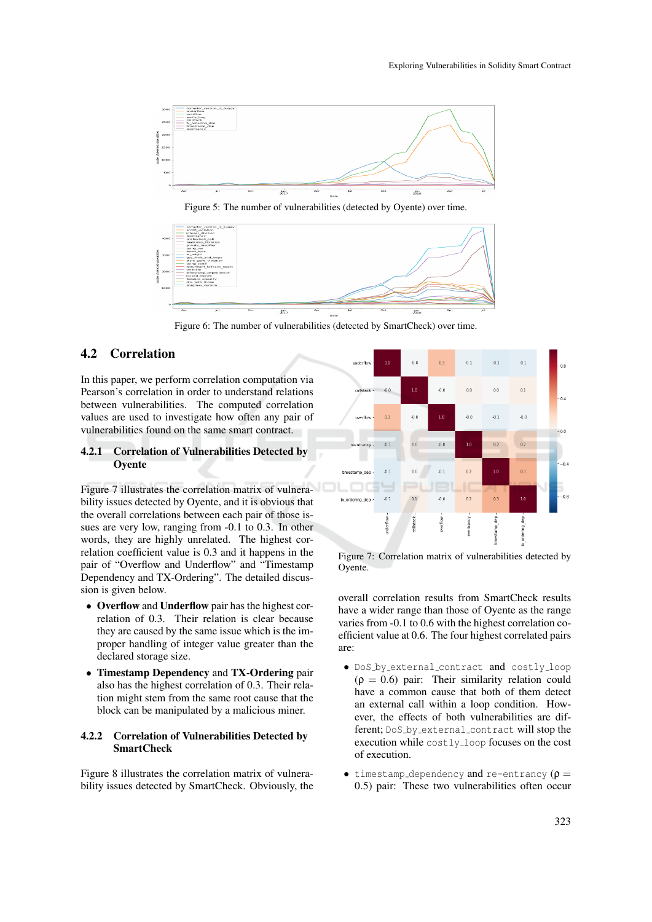

Figure 5: The number of vulnerabilities (detected by Oyente) over time.



Figure 6: The number of vulnerabilities (detected by SmartCheck) over time.

## 4.2 Correlation

In this paper, we perform correlation computation via Pearson's correlation in order to understand relations between vulnerabilities. The computed correlation values are used to investigate how often any pair of vulnerabilities found on the same smart contract.

### 4.2.1 Correlation of Vulnerabilities Detected by **Oyente**

Figure 7 illustrates the correlation matrix of vulnerability issues detected by Oyente, and it is obvious that the overall correlations between each pair of those issues are very low, ranging from -0.1 to 0.3. In other words, they are highly unrelated. The highest correlation coefficient value is 0.3 and it happens in the pair of "Overflow and Underflow" and "Timestamp Dependency and TX-Ordering". The detailed discussion is given below.

- Overflow and Underflow pair has the highest correlation of 0.3. Their relation is clear because they are caused by the same issue which is the improper handling of integer value greater than the declared storage size.
- Timestamp Dependency and TX-Ordering pair also has the highest correlation of 0.3. Their relation might stem from the same root cause that the block can be manipulated by a malicious miner.

### 4.2.2 Correlation of Vulnerabilities Detected by **SmartCheck**

Figure 8 illustrates the correlation matrix of vulnerability issues detected by SmartCheck. Obviously, the



Figure 7: Correlation matrix of vulnerabilities detected by Oyente.

overall correlation results from SmartCheck results have a wider range than those of Oyente as the range varies from -0.1 to 0.6 with the highest correlation coefficient value at 0.6. The four highest correlated pairs are:

- DoS by external contract and costly loop  $(\rho = 0.6)$  pair: Their similarity relation could have a common cause that both of them detect an external call within a loop condition. However, the effects of both vulnerabilities are different; DoS\_by\_external\_contract will stop the execution while costly loop focuses on the cost of execution.
- timestamp\_dependency and re-entrancy  $(\rho =$ 0.5) pair: These two vulnerabilities often occur